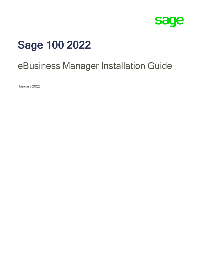

# Sage 100 2022

# eBusiness Manager Installation Guide

January 2022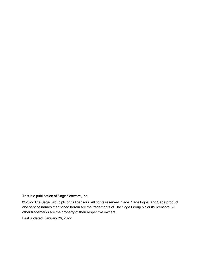This is a publication of Sage Software, Inc.

© 2022 The Sage Group plc or its licensors. All rights reserved. Sage, Sage logos, and Sage product and service names mentioned herein are the trademarks of The Sage Group plc or its licensors. All other trademarks are the property of their respective owners.

Last updated: January 26, 2022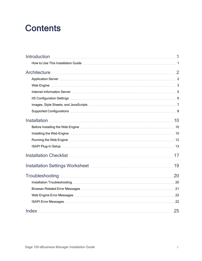# **Contents**

| Architecture <b>Manual</b> 2                                                             |    |
|------------------------------------------------------------------------------------------|----|
|                                                                                          |    |
|                                                                                          |    |
|                                                                                          |    |
|                                                                                          |    |
|                                                                                          |    |
|                                                                                          |    |
|                                                                                          |    |
|                                                                                          |    |
|                                                                                          |    |
|                                                                                          |    |
|                                                                                          |    |
| Installation Checklist <u>[</u> [11] Installation Checklist <b>[17] Installation</b> (17 |    |
|                                                                                          |    |
|                                                                                          |    |
|                                                                                          |    |
|                                                                                          |    |
|                                                                                          |    |
|                                                                                          |    |
|                                                                                          | 25 |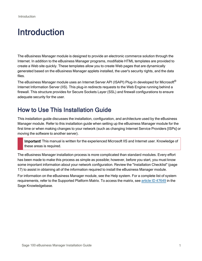# <span id="page-3-0"></span>Introduction

The eBusiness Manager module is designed to provide an electronic commerce solution through the Internet. In addition to the eBusiness Manager programs, modifiable HTML templates are provided to create a Web site quickly. These templates allow you to create Web pages that are dynamically generated based on the eBusiness Manager applets installed, the user's security rights, and the data files.

The eBusiness Manager module uses an Internet Server API (ISAPI) Plug-In developed for Microsoft® Internet Information Server (IIS). This plug-in redirects requests to the Web Engine running behind a firewall. This structure provides for Secure Sockets Layer (SSL) and firewall configurations to ensure adequate security for the user.

# <span id="page-3-1"></span>How to Use This Installation Guide

This installation guide discusses the installation, configuration, and architecture used by the eBusiness Manager module. Refer to this installation guide when setting up the eBusiness Manager module for the first time or when making changes to your network (such as changing Internet Service Providers [ISPs] or moving the software to another server).

Important! This manual is written for the experienced Microsoft IIS and Internet user. Knowledge of these areas is required.

The eBusiness Manager installation process is more complicated than standard modules. Every effort has been made to make this process as simple as possible; however, before you start, you must know some important information about your network configuration. Review the ["Installation](#page-19-0) Checklist" (page [17\)](#page-19-0) to assist in obtaining all of the information required to install the eBusiness Manager module.

For information on the eBusiness Manager module, see the Help system. For a complete list of system requirements, refer to the Supported Platform Matrix. To access the matrix, see article ID [47649](https://support.na.sage.com/selfservice/viewdocument.do?noCount=true&externalId=47649) in the Sage Knowledgebase.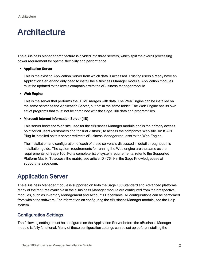# <span id="page-4-0"></span>**Architecture**

The eBusiness Manager architecture is divided into three servers, which split the overall processing power requirement for optimal flexibility and performance.

#### <span id="page-4-2"></span>• Application Server

This is the existing Application Server from which data is accessed. Existing users already have an Application Server and only need to install the eBusiness Manager module. Application modules must be updated to the levels compatible with the eBusiness Manager module.

#### <span id="page-4-5"></span>• Web Engine

This is the server that performs the HTML merges with data. The Web Engine can be installed on the same server as the Application Server, but not in the same folder. The Web Engine has its own set of programs that must not be combined with the Sage 100 data and program files.

#### <span id="page-4-4"></span>• Microsoft Internet Information Server (IIS)

This server hosts the Web site used for the eBusiness Manager module and is the primary access point for all users (customers and "casual visitors") to access the company's Web site. An ISAPI Plug-In installed on this server redirects eBusiness Manager requests to the Web Engine.

The installation and configuration of each of these servers is discussed in detail throughout this installation guide. The system requirements for running the Web engine are the same as the requirements for Sage 100. For a complete list of system requirements, refer to the Supported Platform Matrix. To access the matrix, see article ID 47649 in the Sage Knowledgebase at support.na.sage.com.

# <span id="page-4-1"></span>Application Server

The eBusiness Manager module is supported on both the Sage 100 Standard and Advanced platforms. Many of the features available in the eBusiness Manager module are configured from their respective modules, such as Inventory Management and Accounts Receivable. All configurations can be performed from within the software. For information on configuring the eBusiness Manager module, see the Help system.

## <span id="page-4-3"></span>Configuration Settings

The following settings must be configured on the Application Server before the eBusiness Manager module is fully functional. Many of these configuration settings can be set up before installing the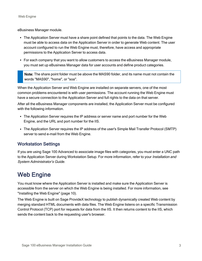eBusiness Manager module.

- The Application Server must have a share point defined that points to the data. The Web Engine must be able to access data on the Application Server in order to generate Web content. The user account configured to run the Web Engine must, therefore, have access and appropriate permissions to the Application Server to access data.
- For each company that you want to allow customers to access the eBusiness Manager module, you must set up eBusiness Manager data for user accounts and define product categories.

Note: The share point folder must be above the MAS90 folder, and its name must not contain the words "MAS90", "home", or "soa".

When the Application Server and Web Engine are installed on separate servers, one of the most common problems encountered is with user permissions. The account running the Web Engine must have a secure connection to the Application Server and full rights to the data on that server.

After all the eBusiness Manager components are installed, the Application Server must be configured with the following information.

- The Application Server requires the IP address or server name and port number for the Web Engine, and the URL and port number for the IIS.
- The Application Server requires the IP address of the user's Simple Mail Transfer Protocol (SMTP) server to send e-mail from the Web Engine.

## Workstation Settings

If you are using Sage 100 Advanced to associate image files with categories, you must enter a UNC path to the Application Server during Workstation Setup. For more information, refer to your *Installation and* System Administrator's Guide.

# <span id="page-5-0"></span>Web Engine

You must know where the Application Server is installed and make sure the Application Server is accessible from the server on which the Web Engine is being installed. For more information, see ["Installing](#page-12-2) the Web Engine" (page 10).

The Web Engine is built on Sage ProvideX technology to publish dynamically created Web content by merging standard HTML documents with data files. The Web Engine listens on a specific Transmission Control Protocol (TCP) port for requests for data from the IIS. It then returns content to the IIS, which sends the content back to the requesting user's browser.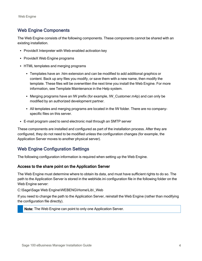## <span id="page-6-1"></span>Web Engine Components

The Web Engine consists of the following components. These components cannot be shared with an existing installation.

- ProvideX Interpreter with Web-enabled activation key
- ProvideX Web Engine programs
- HTML templates and merging programs
	- <sup>l</sup> Templates have an .htm extension and can be modified to add additional graphics or content. Back up any files you modify, or save them with a new name, then modify the template. These files will be overwritten the next time you install the Web Engine. For more information, see Template Maintenance in the Help system.
	- Merging programs have an IW prefix (for example, IW Customer.m4p) and can only be modified by an authorized development partner.
	- All templates and merging programs are located in the IW folder. There are no companyspecific files on this server.
- E-mail program used to send electronic mail through an SMTP server

These components are installed and configured as part of the installation process. After they are configured, they do not need to be modified unless the configuration changes (for example, the Application Server moves to another physical server).

## <span id="page-6-0"></span>Web Engine Configuration Settings

The following configuration information is required when setting up the Web Engine.

#### Access to the share point on the Application Server

The Web Engine must determine where to obtain its data, and must have sufficient rights to do so. The path to the Application Server is stored in the webhide.ini configuration file in the following folder on the Web Engine server:

C:\Sage\Sage Web Engine\WEBENG\Home\Lib\\_Web

If you need to change the path to the Application Server, reinstall the Web Engine (rather than modifying the configuration file directly).

Note: The Web Engine can point to only one Application Server.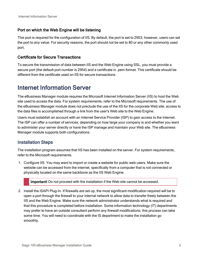#### Port on which the Web Engine will be listening

This port is required for the configuration of IIS. By default, the port is set to 2953; however, users can set the port to any value. For security reasons, the port should not be set to 80 or any other commonly used port.

#### Certificate for Secure Transactions

To secure the transmission of data between IIS and the Web Engine using SSL, you must provide a secure port (the default port number is 2954) and a certificate in .pem format. This certificate should be different from the certificate used on IIS for secure transactions.

## <span id="page-7-0"></span>Internet Information Server

The eBusiness Manager module requires the Microsoft Internet Information Server (IIS) to host the Web site used to access the data. For system requirements, refer to the Microsoft requirements. The use of the eBusiness Manager module does not preclude the use of the IIS for the corporate Web site; access to the data files is accomplished through a link from the user's Web site to the Web Engine.

Users must establish an account with an Internet Service Provider (ISP) to gain access to the Internet. The ISP can offer a number of services, depending on how large your company is and whether you want to administer your server directly or have the ISP manage and maintain your Web site. The eBusiness Manager module supports both configurations.

### <span id="page-7-1"></span>Installation Steps

The installation program assumes that IIS has been installed on the server. For system requirements, refer to the Microsoft requirements.

1. Configure IIS. You may want to import or create a website for public web users. Make sure the website can be accessed from the internet, specifically from a computer that is not connected or physically located on the same backbone as the IIS Web Engine.

Important! Do not proceed with the installation if the Web site cannot be accessed.

2. Install the ISAPI Plug-In. If firewalls are set up, the most significant modification required will be to open a port through the firewall to your internal network to allow data to transfer freely between the IIS and the Web Engine. Make sure the network administrator understands what is required and that this procedure is completed before installation. Some information technology (IT) departments may prefer to have an outside consultant perform any firewall modifications; this process can take some time. You will need to coordinate with the IS department to make the installation go smoothly.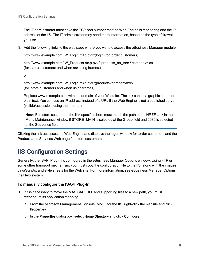The IT administrator must have the TCP port number that the Web Engine is monitoring and the IP address of the IIS. The IT administrator may need more information, based on the type of firewall you use.

3. Add the following links to the web page where you want to access the eBusiness Manager module:

http://www.example.com/IW\_Login.m4p.pvx?;login (for .order customers)

http://www.example.com/IW\_Products.m4p.pvx?;products\_no\_tree? company=xxx (for .store customers and when not using frames.)

or

http://www.example.com/IW\_Login.m4p.pvx?;products?company=xxx (for .store customers and when using frames)

Replace www.example.com with the domain of your Web site. The link can be a graphic button or plain text. You can use an IP address instead of a URL if the Web Engine is not a published server (visible/accessible using the Internet).

Note: For .store customers, the link specified here must match the path at the HREF Link in the Menu Maintenance window if STORE\_MAIN is selected at the Group field and 0030 is selected at the Sequence field.

Clicking the link accesses the Web Engine and displays the logon window for .order customers and the Products and Services Web page for .store customers.

# <span id="page-8-0"></span>IIS Configuration Settings

Generally, the ISAPI Plug-In is configured in the eBusiness Manager Options window. Using FTP or some other transport mechanism, you must copy the configuration file to the IIS, along with the images, JavaScripts, and style sheets for the Web site. For more information, see eBusiness Manager Options in the Help system.

#### <span id="page-8-1"></span>To manually configure the ISAPI Plug-In

- 1. If it is necessary to move the MASISAPI.DLL and supporting files to a new path, you must reconfigure its application mapping.
	- a. From the Microsoft Management Console (MMC) for the IIS, right-click the website and click Properties.
	- b. In the Properties dialog box, select Home Directory and click Configure.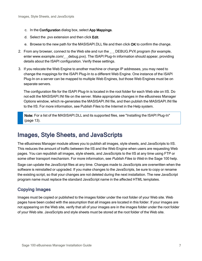- c. In the Configuration dialog box, select App Mappings.
- d. Select the .pvx extension and then click Edit.
- e. Browse to the new path for the MASISAPI.DLL file and then click OK to confirm the change.
- 2. From any browser, connect to the Web site and run the \_\_ DEBUG.PVX program (for example, enter www.example.com/ debug.pvx). The ISAPI Plug-In information should appear, providing details about the ISAPI configuration. Verify these settings.
- 3. If you relocate the Web Engine to another machine or change IP addresses, you may need to change the mappings for the ISAPI Plug-In to a different Web Engine. One instance of the ISAPI Plug-In on a server can be mapped to multiple Web Engines, but those Web Engines must be on separate servers.

The configuration file for the ISAPI Plug-In is located in the root folder for each Web site on IIS. Do not edit the MASISAPI.INI file on the server. Make appropriate changes in the eBusiness Manager Options window, which re-generates the MASISAPI.INI file, and then publish the MASISAPI.INI file to the IIS. For more information, see Publish Files to the Internet in the Help system.

Note: For a list of the MASISAPI.DLL and its supported files, see ["Installing](#page-15-1) the ISAPI Plug-In" [\(page](#page-15-1) 13).

# <span id="page-9-0"></span>Images, Style Sheets, and JavaScripts

The eBusiness Manager module allows you to publish all images, style sheets, and JavaScripts to IIS. This reduces the amount of traffic between the IIS and the Web Engine when users are requesting Web pages. You can republish all images, style sheets, and JavaScripts to the IIS at any time using FTP or some other transport mechanism. For more information, see Publish Files to Web in the Sage 100 help.

Sage can update the JavaScript files at any time. Changes made to JavaScripts are overwritten when the software is reinstalled or upgraded. If you make changes to the JavaScripts, be sure to copy or rename the existing script, so that your changes are not deleted during the next installation. The new JavaScript program name must replace the standard JavaScript name in the affected HTML templates.

## <span id="page-9-1"></span>Copying Images

Images must be copied or published to the images folder under the root folder of your Web site. Web pages have been coded with the assumption that all images are located in this folder. If your images are not appearing on the Web site, verify that all of your images are in the images folder under the root folder of your Web site. JavaScripts and style sheets must be stored at the root folder of the Web site.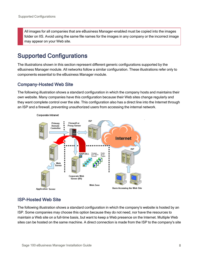All images for all companies that are eBusiness Manager-enabled must be copied into the images folder on IIS. Avoid using the same file names for the images in any company or the incorrect image may appear on your Web site.

# <span id="page-10-0"></span>Supported Configurations

The illustrations shown in this section represent different generic configurations supported by the eBusiness Manager module. All networks follow a similar configuration. These illustrations refer only to components essential to the eBusiness Manager module.

### <span id="page-10-1"></span>Company-Hosted Web Site

The following illustration shows a standard configuration in which the company hosts and maintains their own website. Many companies have this configuration because their Web sites change regularly and they want complete control over the site. This configuration also has a direct line into the Internet through an ISP and a firewall, preventing unauthorized users from accessing the internal network.



#### Corporate Intranet

## <span id="page-10-2"></span>ISP-Hosted Web Site

The following illustration shows a standard configuration in which the company's website is hosted by an ISP. Some companies may choose this option because they do not need, nor have the resources to maintain a Web site on a full-time basis, but want to keep a Web presence on the Internet. Multiple Web sites can be hosted on the same machine. A direct connection is made from the ISP to the company's site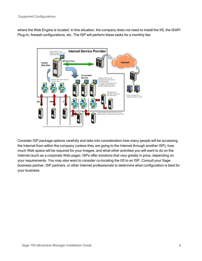where the Web Engine is located. In this situation, the company does not need to install the IIS, the ISAPI Plug-In, firewall configurations, etc. The ISP will perform these tasks for a monthly fee.



Consider ISP package options carefully and take into consideration how many people will be accessing the Internet from within the company (unless they are going to the Internet through another ISP), how much Web space will be required for your images, and what other activities you will want to do on the Internet (such as a corporate Web page). ISPs offer solutions that vary greatly in price, depending on your requirements. You may also want to consider co-locating the IIS to an ISP. Consult your Sage business partner, ISP partners, or other Internet professionals to determine what configuration is best for your business.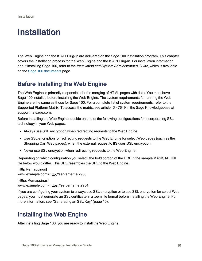# <span id="page-12-0"></span>Installation

The Web Engine and the ISAPI Plug-In are delivered on the Sage 100 installation program. This chapter covers the installation process for the Web Engine and the ISAPI Plug-In. For installation information about installing Sage 100, refer to the Installation and System Administrator's Guide, which is available on the Sage 100 [documents](http://cdn.na.sage.com/docs/en/customer/100erp/Documentation.htm) page.

# <span id="page-12-1"></span>Before Installing the Web Engine

The Web Engine is primarily responsible for the merging of HTML pages with data. You must have Sage 100 installed before installing the Web Engine. The system requirements for running the Web Engine are the same as those for Sage 100. For a complete list of system requirements, refer to the Supported Platform Matrix. To access the matrix, see article ID 47649 in the Sage Knowledgebase at support.na.sage.com.

Before installing the Web Engine, decide on one of the following configurations for incorporating SSL technology in your Web pages:

- Always use SSL encryption when redirecting requests to the Web Engine.
- Use SSL encryption for redirecting requests to the Web Engine for select Web pages (such as the Shopping Cart Web pages), when the external request to IIS uses SSL encryption.
- Never use SSL encryption when redirecting requests to the Web Engine.

Depending on which configuration you select, the bold portion of the URL in the sample MASISAPI.INI file below would differ. This URL resembles the URL to the Web Engine.

[Http Remappings] www.example.com=http://servername:2953

[Https Remappings] www.example.com=https://servername:2954

If you are configuring your system to always use SSL encryption or to use SSL encryption for select Web pages, you must generate an SSL certificate in a .pem file format before installing the Web Engine. For more information, see ["Generating](#page-17-0) an SSL Key" (page 15).

# <span id="page-12-2"></span>Installing the Web Engine

After installing Sage 100, you are ready to install the Web Engine.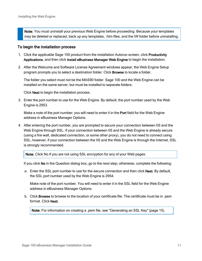Note: You must uninstall your previous Web Engine before proceeding. Because your templates may be deleted or replaced, back up any templates, .htm files, and the IW folder before uninstalling.

#### To begin the installation process

- 1. Click the applicable Sage 100 product from the installation Autorun screen, click Productivity Applications, and then click Install eBusiness Manager Web Engine to begin the installation.
- 2. After the Welcome and Software License Agreement windows appear, the Web Engine Setup program prompts you to select a destination folder. Click Browse to locate a folder.

The folder you select must not be the MAS90 folder. Sage 100 and the Web Engine can be installed on the same server, but must be installed to separate folders.

<span id="page-13-0"></span>Click Next to begin the installation process.

3. Enter the port number to use for the Web Engine. By default, the port number used by the Web Engine is 2953.

Make a note of the port number; you will need to enter it in the Port field for the Web Engine address in eBusiness Manager Options.

4. After entering the port number, you are prompted to secure your connection between IIS and the Web Engine through SSL. If your connection between IIS and the Web Engine is already secure (using a fire wall, dedicated connection, or some other proxy), you do not need to connect using SSL; however, if your connection between the IIS and the Web Engine is through the Internet, SSL is strongly recommended.

Note: Click No if you are not using SSL encryption for any of your Web pages.

If you click No in the Question dialog box, go to the next step; otherwise, complete the following:

a. Enter the SSL port number to use for the secure connection and then click Next. By default, the SSL port number used by the Web Engine is 2954.

Make note of the port number. You will need to enter it in the SSL field for the Web Engine address in eBusiness Manager Options.

b. Click Browse to browse to the location of your certificate file. The certificate must be in .pem format. Click Next.

Note: For information on creating a .pem file, see ["Generating](#page-17-0) an SSL Key" (page 15).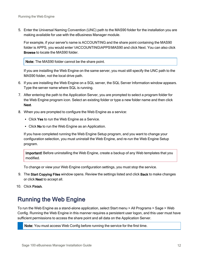5. Enter the Universal Naming Convention (UNC) path to the MAS90 folder for the installation you are making available for use with the eBusiness Manager module.

<span id="page-14-2"></span>For example, if your server's name is ACCOUNTING and the share point containing the MAS90 folder is APPS, you would enter \\ACCOUNTING\APPS\MAS90 and click Next. You can also click Browse to locate the MAS90 folder.

Note: The MAS90 folder cannot be the share point.

If you are installing the Web Engine on the same server, you must still specify the UNC path to the MAS90 folder, not the local drive path.

- 6. If you are installing the Web Engine on a SQL server, the SQL Server Information window appears. Type the server name where SQL is running.
- 7. After entering the path to the Application Server, you are prompted to select a program folder for the Web Engine program icon. Select an existing folder or type a new folder name and then click Next.
- 8. When you are prompted to configure the Web Engine as a service:
	- Click Yes to run the Web Engine as a Service.
	- Click No to run the Web Engine as an Application.

If you have completed running the Web Engine Setup program, and you want to change your configuration selection, you must uninstall the Web Engine, and re-run the Web Engine Setup program.

Important! Before uninstalling the Web Engine, create a backup of any Web templates that you modified.

<span id="page-14-3"></span>To change or view your Web Engine configuration settings, you must stop the service.

- 9. The Start Copying Files window opens. Review the settings listed and click Back to make changes or click Next to accept all.
- <span id="page-14-0"></span>10. Click Finish.

# Running the Web Engine

<span id="page-14-1"></span>To run the Web Engine as a stand-alone application, select Start menu > All Programs > Sage > Web Config. Running the Web Engine in this manner requires a persistent user logon, and this user must have sufficient permissions to access the share point and all data on the Application Server.

Note: You must access Web Config before running the service for the first time.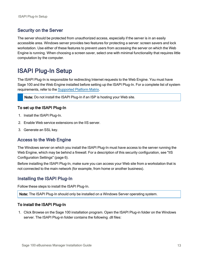### Security on the Server

The server should be protected from unauthorized access, especially if the server is in an easily accessible area. Windows server provides two features for protecting a server: screen savers and lock workstation. Use either of these features to prevent users from accessing the server on which the Web Engine is running. When choosing a screen saver, select one with minimal functionality that requires little computation by the computer.

# <span id="page-15-0"></span>ISAPI Plug-In Setup

The ISAPI Plug-In is responsible for redirecting Internet requests to the Web Engine. You must have Sage 100 and the Web Engine installed before setting up the ISAPI Plug-In. For a complete list of system requirements, refer to the [Supported](https://support.na.sage.com/selfservice/viewdocument.do?noCount=true&externalId=47649) Platform Matrix.

Note: Do not install the ISAPI Plug-In if an ISP is hosting your Web site.

#### To set up the ISAPI Plug-In

- 1. Install the ISAPI Plug-In.
- 2. Enable Web service extensions on the IIS server.
- <span id="page-15-2"></span>3. Generate an SSL key.

#### Access to the Web Engine

The Windows server on which you install the ISAPI Plug-In must have access to the server running the Web Engine, which may be behind a firewall. For a description of this security configuration, see ["IIS](#page-8-0) [Configuration](#page-8-0) Settings" (page 6).

Before installing the ISAPI Plug-In, make sure you can access your Web site from a workstation that is not connected to the main network (for example, from home or another business).

#### <span id="page-15-1"></span>Installing the ISAPI Plug-In

Follow these steps to install the ISAPI Plug-In.

Note: The ISAPI Plug-In should only be installed on a Windows Server operating system.

#### To install the ISAPI Plug-In

1. Click Browse on the Sage 100 installation program. Open the ISAPI Plug-in folder on the Windows server. The ISAPI Plug-in folder contains the following .dll files: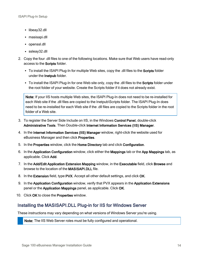- libeay32.dll
- masisapi.dll
- openssl.dll
- ssleay32.dll
- 2. Copy the four .dll files to one of the following locations. Make sure that Web users have read-only access to the Scripts folder.
	- To install the ISAPI Plug-In for multiple Web sites, copy the .dll files to the Scripts folder under the Inetpub folder.
	- To install the ISAPI Plug-In for one Web site only, copy the .dll files to the Scripts folder under the root folder of your website. Create the Scripts folder if it does not already exist.

<span id="page-16-0"></span>Note: If your IIS hosts multiple Web sites, the ISAPI Plug-In does not need to be re-installed for each Web site if the .dll files are copied to the Inetpub\Scripts folder. The ISAPI Plug-In does need to be re-installed for each Web site if the .dll files are copied to the Scripts folder in the root folder of a Web site.

- 3. To register the Server Side Include on IIS, in the Windows Control Panel, double-click Administrative Tools. Then Double-click Internet Information Services (IIS) Manager.
- 4. In the Internet Information Services (IIS) Manager window, right-click the website used for eBusiness Manager and then click Properties.
- 5. In the Properties window, click the Home Directory tab and click Configuration.
- 6. In the Application Configuration window, click either the Mappings tab or the App Mappings tab, as applicable. Click Add.
- 7. In the Add/Edit Application Extension Mapping window, in the Executable field, click Browse and browse to the location of the MASISAPI.DLL file.
- 8. In the Extension field, type PVX. Accept all other default settings, and click OK.
- 9. In the Application Configuration window, verify that PVX appears in the Application Extensions panel or the Application Mappings panel, as applicable. Click OK.
- <span id="page-16-1"></span>10. Click OK to close the Properties window.

## Installing the MASISAPI.DLL Plug-in for IIS for Windows Server

These instructions may vary depending on what versions of Windows Server you're using.

Note: The IIS Web Server roles must be fully configured and operational.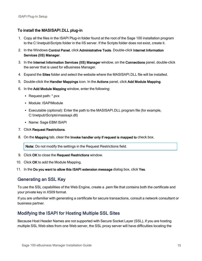#### To install the MASISAPI.DLL plug-in

- 1. Copy all the files in the ISAPI Plug-in folder found at the root of the Sage 100 installation program to the C:\Inetpub\Scripts folder in the IIS server. If the Scripts folder does not exist, create it.
- 2. In the Windows Control Panel, click Administrative Tools. Double-click Internet Information Services (IIS) Manager.
- 3. In the Internet Information Services (IIS) Manager window, on the Connections panel, double-click the server that is used for eBusiness Manager.
- 4. Expand the Sites folder and select the website where the MASISAPI.DLL file will be installed.
- 5. Double-click the Handler Mappings icon. In the Actions panel, click Add Module Mapping.
- 6. In the Add Module Mapping window, enter the following:
	- Request path: \*.pvx
	- Module: ISAPIModule
	- Executable (optional): Enter the path to the MASISAPI.DLL program file (for example, C:\Inetpub\Scripts\masisapi.dll)
	- Name: Sage EBM ISAPI
- 7. Click Request Restrictions.
- 8. On the Mapping tab, clear the Invoke handler only if request is mapped to check box.

Note: Do not modify the settings in the Request Restrictions field.

- 9. Click OK to close the Request Restrictions window.
- 10. Click OK to add the Module Mapping.
- <span id="page-17-0"></span>11. In the Do you want to allow this ISAPI extension message dialog box, click Yes.

## Generating an SSL Key

To use the SSL capabilities of the Web Engine, create a .pem file that contains both the certificate and your private key in X509 format.

If you are unfamiliar with generating a certificate for secure transactions, consult a network consultant or business partner.

## <span id="page-17-1"></span>Modifying the ISAPI for Hosting Multiple SSL Sites

Because Host Header Names are not supported with Secure Socket Layer (SSL), if you are hosting multiple SSL Web sites from one Web server, the SSL proxy server will have difficulties locating the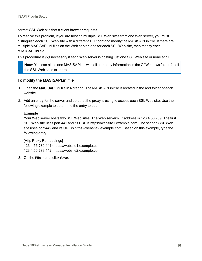correct SSL Web site that a client browser requests.

To resolve this problem, if you are hosting multiple SSL Web sites from one Web server, you must distinguish each SSL Web site with a different TCP port and modify the MASISAPI.ini file. If there are multiple MASISAPI.ini files on the Web server, one for each SSL Web site, then modify each MASISAPI.ini file.

This procedure is not necessary if each Web server is hosting just one SSL Web site or none at all.

Note: You can place one MASISAPI.ini with all company information in the C:\Windows folder for all the SSL Web sites to share.

#### To modify the MASISAPI.ini file

- 1. Open the MASISAPI.ini file in Notepad. The MASISAPI.ini file is located in the root folder of each website.
- 2. Add an entry for the server and port that the proxy is using to access each SSL Web site. Use the following example to determine the entry to add:

#### Example

Your Web server hosts two SSL Web sites. The Web server's IP address is 123.4.56.789. The first SSL Web site uses port 441 and its URL is https://website1.example.com. The second SSL Web site uses port 442 and its URL is https://website2.example.com. Based on this example, type the following entry:

[Http Proxy Remappings] 123.4.56.789:441=https://website1.example.com 123.4.56.789:442=https://website2.example.com

3. On the File menu, click Save.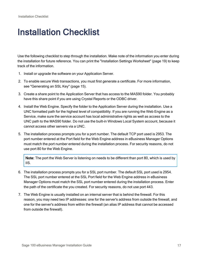# <span id="page-19-0"></span>Installation Checklist

Use the following checklist to step through the installation. Make note of the information you enter during the installation for future reference. You can print the ["Installation](#page-21-0) Settings Worksheet" (page 19) to keep track of the information.

- 1. Install or upgrade the software on your Application Server.
- 2. To enable secure Web transactions, you must first generate a certificate. For more information, see ["Generating](#page-17-0) an SSL Key" (page 15).
- 3. Create a share point to the Application Server that has access to the MAS90 folder. You probably have this share point if you are using Crystal Reports or the ODBC driver.
- 4. Install the Web Engine. Specify the folder to the Application Server during the installation. Use a UNC formatted path for the highest level of compatibility. If you are running the Web Engine as a Service, make sure the service account has local administrative rights as well as access to the UNC path to the MAS90 folder. Do not use the built-in Windows Local System account, because it cannot access other servers via a UNC.
- 5. The installation process prompts you for a port number. The default TCP port used is 2953. The port number entered at the Port field for the Web Engine address in eBusiness Manager Options must match the port number entered during the installation process. For security reasons, do not use port 80 for the Web Engine.

Note: The port the Web Server is listening on needs to be different than port 80, which is used by IIS.

- 6. The installation process prompts you for a SSL port number. The default SSL port used is 2954. The SSL port number entered at the SSL Port field for the Web Engine address in eBusiness Manager Options must match the SSL port number entered during the installation process. Enter the path of the certificate the you created. For security reasons, do not use port 443.
- 7. The Web Engine is usually installed on an internal server that is behind the firewall. For this reason, you may need two IP addresses: one for the server's address from outside the firewall, and one for the server's address from within the firewall (an alias IP address that cannot be accessed from outside the firewall).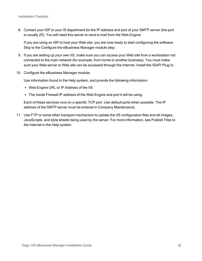8. Contact your ISP or your IS department for the IP address and port of your SMTP server (the port is usually 25). You will need this server to send e-mail from the Web Engine.

If you are using an ISP to host your Web site, you are now ready to start configuring the software. Skip to the Configure the eBusiness Manager module step.

- 9. If you are setting up your own IIS, make sure you can access your Web site from a workstation not connected to the main network (for example, from home or another business). You must make sure your Web server or Web site can be accessed through the Internet. Install the ISAPI Plug-In.
- 10. Configure the eBusiness Manager module.

Use information found in the Help system, and provide the following information:

- Web Engine URL or IP Address of the IIS
- The Inside Firewall IP address of the Web Engine and port it will be using.

Each of these services runs on a specific TCP port. Use default ports when possible. The IP address of the SMTP server must be entered in Company Maintenance.

11. Use FTP or some other transport mechanism to update the IIS configuration files and all images, JavaScripts, and style sheets being used by the server. For more information, see Publish Files to the Internet in the Help system.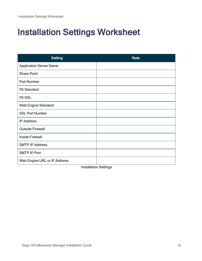# <span id="page-21-0"></span>Installation Settings Worksheet

| <b>Setting</b>                 | <b>Note</b> |
|--------------------------------|-------------|
| <b>Application Server Name</b> |             |
| <b>Share Point</b>             |             |
| Port Number                    |             |
| <b>IIS Standard</b>            |             |
| <b>IIS SSL</b>                 |             |
| Web Engine Standard            |             |
| <b>SSL Port Number</b>         |             |
| <b>IP Address</b>              |             |
| <b>Outside Firewall</b>        |             |
| <b>Inside Firewall</b>         |             |
| <b>SMTP IP Address</b>         |             |
| SMTP IP Port                   |             |
| Web Engine URL or IP Address   |             |

Installation Settings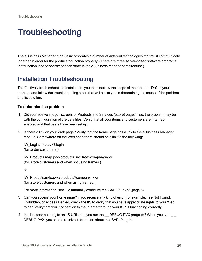# <span id="page-22-0"></span>**Troubleshooting**

The eBusiness Manager module incorporates a number of different technologies that must communicate together in order for the product to function properly. (There are three server-based software programs that function independently of each other in the eBusiness Manager architecture.)

# <span id="page-22-1"></span>Installation Troubleshooting

To effectively troubleshoot the installation, you must narrow the scope of the problem. Define your problem and follow the troubleshooting steps that will assist you in determining the cause of the problem and its solution.

#### To determine the problem

- 1. Did you receive a logon screen, or Products and Services (.store) page? If so, the problem may be with the configuration of the data files. Verify that all your items and customers are Internetenabled and that users have been set up.
- 2. Is there a link on your Web page? Verify that the home page has a link to the eBusiness Manager module. Somewhere on the Web page there should be a link to the following:

IW\_Login.m4p.pvx?;login (for .order customers.)

IW\_Products.m4p.pvx?products\_no\_tree?company=xxx (for .store customers and when not using frames.)

or

IW\_Products.m4p.pvx?products?company=xxx (for .store customers and when using frames.)

For more information, see "To manually [configure](#page-8-1) the ISAPI Plug-In" (page 6).

- 3. Can you access your home page? If you receive any kind of error (for example, File Not Found, Forbidden, or Access Denied) check the IIS to verify that you have appropriate rights to your Web folder. Verify that your connection to the Internet through your ISP is functioning correctly.
- 4. In a browser pointing to an IIS URL, can you run the DEBUG.PVX program? When you type DEBUG.PVX, you should receive information about the ISAPI Plug-In.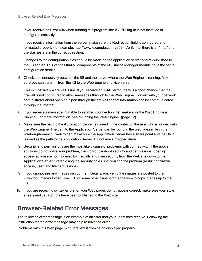If you receive an Error 404 when running this program, the ISAPI Plug-In is not installed or configured correctly.

If you receive information from the server, make sure the Redirection field is configured and formatted properly (for example, http://www.example.com:2953). Verify that there is an "http" and the slashes are in the correct direction.

Changes to the configuration files should be made on the application server and re-published to the IIS server. This verifies that all components of the eBusiness Manager module have the same configuration details.

5. Check the connectivity between the IIS and the server where the Web Engine is running. Make sure you can transmit from the IIS to the Web Engine and vice-versa.

This is most likely a firewall issue. If you receive an ISAPI error, there is a good chance that the firewall is not configured to allow messages through to the Web Engine. Consult with your network administrator about opening a port through the firewall so that information can be communicated through the Internet.

- 6. If you receive a message, "Unable to establish connection (4)", make sure the Web Engine is running. For more information, see ["Running](#page-14-0) the Web Engine" (page 12).
- 7. Make sure the path to the Application Server is correct in the context of the user who is logged onto the Web Engine. The path to the Application Server can be found in the webhide.ini file in the \Webeng\home\lib\\_web folder. Make sure the Application Server has a share point and the UNC is used as the path to the Application Server. Do not use a mapped drive.
- 8. Security and permissions are the most likely cause of problems with connectivity. If the above solutions do not solve your problem, then to troubleshoot security and permissions, open up access so you are not hindered by firewalls and user security from the Web site down to the Application Server. Start closing the security holes until you find the problem (restricting firewall access, user, and file permissions).
- 9. If you cannot see any images on your Item Detail page, verify the images are posted to the \wwwroot\images folder. Use FTP or some other transport mechanism to copy images up to the IIS.
- 10. If you are receiving syntax errors, or your Web pages do not appear correct, make sure your style sheets and JavaScripts have been published to the Web site.

# <span id="page-23-0"></span>Browser-Related Error Messages

The following error message is an example of an error that your users may receive. Following the instruction for the error message may help resolve the error.

Problems with this Web page might prevent it from being displayed properly.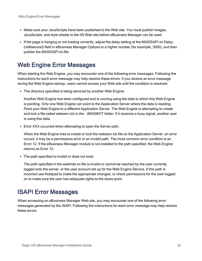- Make sure your JavaScripts have been published to the Web site. You must publish images, JavaScripts, and style sheets to the IIS Web site before eBusiness Manager can be used.
- If the page is hanging or not loading correctly, adjust the delay setting at the MASISAPI.ini Delay (millisecond) field in eBusiness Manager Options to a higher number (for example, 3000), and then publish the MASISAPI.ini file.

# <span id="page-24-0"></span>Web Engine Error Messages

When starting the Web Engine, you may encounter one of the following error messages. Following the instructions for each error message may help resolve these errors. If you receive an error message during the Web Engine startup, users cannot access your Web site until the condition is resolved.

• The directory specified is being serviced by another Web Engine.

Another Web Engine has been configured and is running using the data to which this Web Engine is pointing. Only one Web Engine can point to the Application Server where the data is residing. Point your Web Engine to a different Application Server. The Web Engine is attempting to create and lock a file called webserv.lck in the ..\MAS90\IT folder. If it receives a busy signal, another user is using this data.

• Error XXX occurred when attempting to open the Server path.

When the Web Engine tries to create or lock the webserv.lck file on the Application Server, an error occurs; it may be a permissions error or an invalid path. The most common error condition is an Error 12. If the eBusiness Manager module is not installed to the path specified, the Web Engine returns an Error 12.

• The path specified is invalid or does not exist.

The path specified in the webhide.ini file is invalid or cannot be reached by the user currently logged onto the server, or the user account set up for the Web Engine Service. If this path is incorrect use Notepad to make the appropriate changes, or check permissions for the user logged on to make sure the user has adequate rights to the share point.

# <span id="page-24-1"></span>ISAPI Error Messages

When accessing an eBusiness Manager Web site, you may encounter one of the following error messages generated by the ISAPI. Following the instructions for each error message may help resolve these errors.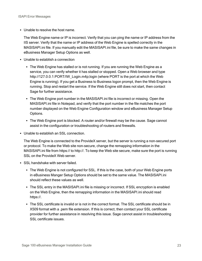• Unable to resolve the host name.

The Web Engine name or IP is incorrect. Verify that you can ping the name or IP address from the IIS server. Verify that the name or IP address of the Web Engine is spelled correctly in the MASISAPI.ini file. If you manually edit the MASISAPI.ini file, be sure to make the same changes in eBusiness Manager Setup Options as well.

- Unable to establish a connection
	- The Web Engine has stalled or is not running. If you are running the Web Engine as a service, you can verify whether it has stalled or stopped. Open a Web browser and type http://127.0.0.1:PORT/IW\_Login.m4p;login (where PORT is the port at which the Web Engine is running). If you get a Business to Business logon prompt, then the Web Engine is running. Stop and restart the service. If the Web Engine still does not start, then contact Sage for further assistance.
	- The Web Engine port number in the MASISAPI. ini file is incorrect or missing. Open the MASISAPI.ini file in Notepad, and verify that the port number in the file matches the port number displayed on the Web Engine Configuration window and eBusiness Manager Setup Options.
	- The Web Engine port is blocked. A router and/or firewall may be the cause. Sage cannot assist in the configuration or troubleshooting of routers and firewalls.
- Unable to establish an SSL connection.

The Web Engine is connected to the ProvideX server, but the server is running a non-secured port or protocol. To make the Web site non-secure, change the remapping information in the MASISAPI.ini file from https:// to http://. To keep the Web site secure, make sure the port is running SSL on the ProvideX Web server.

- SSL handshake with server failed.
	- The Web Engine is not configured for SSL. If this is the case, both of your Web Engine ports in eBusiness Manger Setup Options should be set to the same value. The MASISAPI.ini should reflect these values as well.
	- The SSL entry in the MASISAPI.ini file is missing or incorrect. If SSL encryption is enabled on the Web Engine, then the remapping information in the MASISAPI.ini should read https://.
	- The SSL certificate is invalid or is not in the correct format. The SSL certificate should be in X509 format with a .pem file extension. If this is correct, then contact your SSL certificate provider for further assistance in resolving this issue. Sage cannot assist in troubleshooting SSL certificate issues.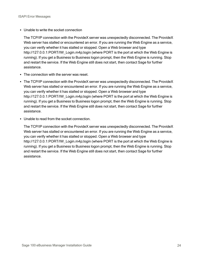• Unable to write the socket connection

The TCP/IP connection with the ProvideX server was unexpectedly disconnected. The ProvideX Web server has stalled or encountered an error. If you are running the Web Engine as a service, you can verify whether it has stalled or stopped. Open a Web browser and type http://127.0.0.1:PORT/IW\_Login.m4p;login (where PORT is the port at which the Web Engine is running). If you get a Business to Business logon prompt, then the Web Engine is running. Stop and restart the service. If the Web Engine still does not start, then contact Sage for further assistance.

- The connection with the server was reset.
- The TCP/IP connection with the ProvideX server was unexpectedly disconnected. The ProvideX Web server has stalled or encountered an error. If you are running the Web Engine as a service, you can verify whether it has stalled or stopped. Open a Web browser and type http://127.0.0.1:PORT/IW\_Login.m4p:login (where PORT is the port at which the Web Engine is running). If you get a Business to Business logon prompt, then the Web Engine is running. Stop and restart the service. If the Web Engine still does not start, then contact Sage for further assistance.
- Unable to read from the socket connection.

The TCP/IP connection with the ProvideX server was unexpectedly disconnected. The ProvideX Web server has stalled or encountered an error. If you are running the Web Engine as a service, you can verify whether it has stalled or stopped. Open a Web browser and type http://127.0.0.1:PORT/IW\_Login.m4p;login (where PORT is the port at which the Web Engine is running). If you get a Business to Business logon prompt, then the Web Engine is running. Stop and restart the service. If the Web Engine still does not start, then contact Sage for further assistance.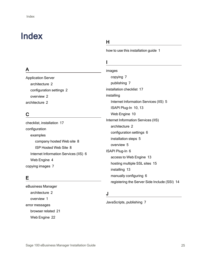# <span id="page-27-0"></span>Index

## A

Application Server architecture [2](#page-4-2) configuration settings [2](#page-4-3) overview [2](#page-4-1) architecture [2](#page-4-0)

## C

checklist, installation [17](#page-19-0) configuration examples company hosted Web site [8](#page-10-1) ISP Hosted Web Site [8](#page-10-2) Internet Information Services (IIS) [6](#page-8-0) Web Engine [4](#page-6-0) copying images [7](#page-9-1)

## E

eBusiness Manager architecture [2](#page-4-0) overview [1](#page-3-0) error messages browser related [21](#page-23-0) Web Engine [22](#page-24-0)

## H

how to use this installation guide [1](#page-3-1)

## I

images copying [7](#page-9-1) publishing [7](#page-9-0) installation checklist [17](#page-19-0) installing Internet Information Services (IIS) [5](#page-7-1) ISAPI Plug-In [10](#page-12-0), [13](#page-15-1) Web Engine [10](#page-12-0) Internet Information Services (IIS) architecture [2](#page-4-4) configuration settings [6](#page-8-0) installation steps [5](#page-7-0) overview [5](#page-7-0) ISAPI Plug-In [6](#page-8-0) access to Web Engine [13](#page-15-2) hosting multiple SSL sites [15](#page-17-1) installing [13](#page-15-1) manually configuring [6](#page-8-0) registering the Server Side Include (SSI) [14](#page-16-0)

## J

JavaScripts, publishing [7](#page-9-0)